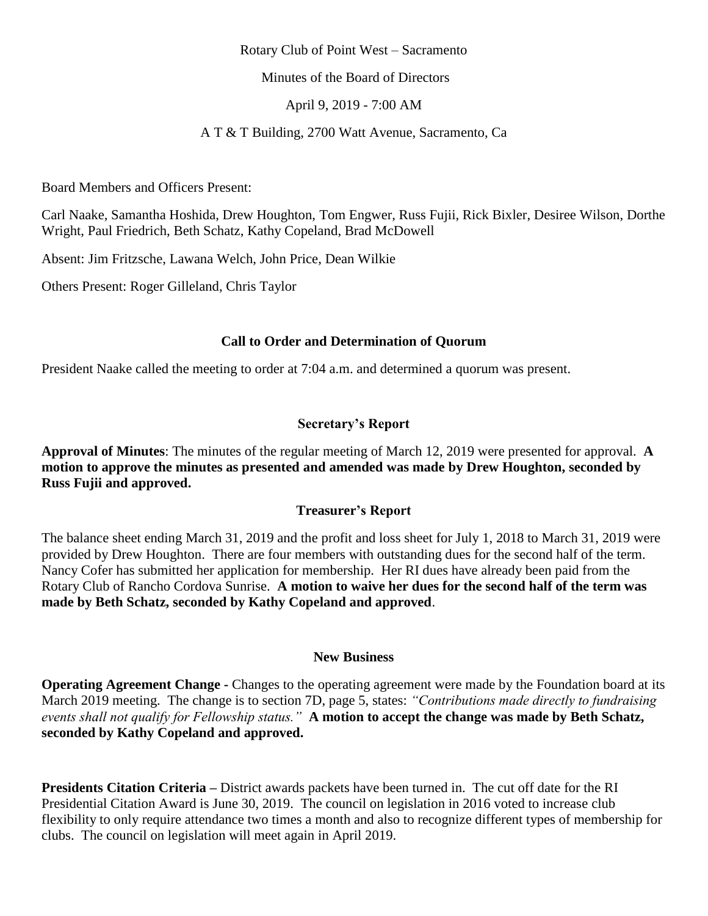#### Rotary Club of Point West – Sacramento

Minutes of the Board of Directors

April 9, 2019 - 7:00 AM

A T & T Building, 2700 Watt Avenue, Sacramento, Ca

Board Members and Officers Present:

Carl Naake, Samantha Hoshida, Drew Houghton, Tom Engwer, Russ Fujii, Rick Bixler, Desiree Wilson, Dorthe Wright, Paul Friedrich, Beth Schatz, Kathy Copeland, Brad McDowell

Absent: Jim Fritzsche, Lawana Welch, John Price, Dean Wilkie

Others Present: Roger Gilleland, Chris Taylor

### **Call to Order and Determination of Quorum**

President Naake called the meeting to order at 7:04 a.m. and determined a quorum was present.

### **Secretary's Report**

**Approval of Minutes**: The minutes of the regular meeting of March 12, 2019 were presented for approval. **A motion to approve the minutes as presented and amended was made by Drew Houghton, seconded by Russ Fujii and approved.**

#### **Treasurer's Report**

The balance sheet ending March 31, 2019 and the profit and loss sheet for July 1, 2018 to March 31, 2019 were provided by Drew Houghton. There are four members with outstanding dues for the second half of the term. Nancy Cofer has submitted her application for membership. Her RI dues have already been paid from the Rotary Club of Rancho Cordova Sunrise. **A motion to waive her dues for the second half of the term was made by Beth Schatz, seconded by Kathy Copeland and approved**.

#### **New Business**

**Operating Agreement Change -** Changes to the operating agreement were made by the Foundation board at its March 2019 meeting. The change is to section 7D, page 5, states: *"Contributions made directly to fundraising events shall not qualify for Fellowship status."* **A motion to accept the change was made by Beth Schatz, seconded by Kathy Copeland and approved.** 

**Presidents Citation Criteria –** District awards packets have been turned in. The cut off date for the RI Presidential Citation Award is June 30, 2019. The council on legislation in 2016 voted to increase club flexibility to only require attendance two times a month and also to recognize different types of membership for clubs. The council on legislation will meet again in April 2019.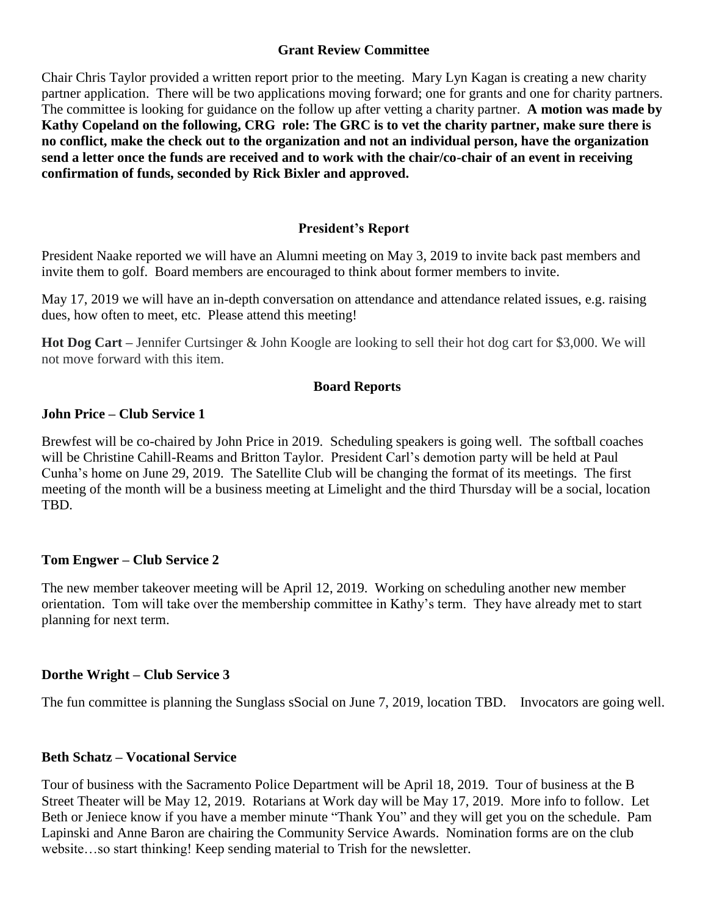### **Grant Review Committee**

Chair Chris Taylor provided a written report prior to the meeting. Mary Lyn Kagan is creating a new charity partner application. There will be two applications moving forward; one for grants and one for charity partners. The committee is looking for guidance on the follow up after vetting a charity partner. **A motion was made by Kathy Copeland on the following, CRG role: The GRC is to vet the charity partner, make sure there is no conflict, make the check out to the organization and not an individual person, have the organization send a letter once the funds are received and to work with the chair/co-chair of an event in receiving confirmation of funds, seconded by Rick Bixler and approved.**

### **President's Report**

President Naake reported we will have an Alumni meeting on May 3, 2019 to invite back past members and invite them to golf. Board members are encouraged to think about former members to invite.

May 17, 2019 we will have an in-depth conversation on attendance and attendance related issues, e.g. raising dues, how often to meet, etc. Please attend this meeting!

**Hot Dog Cart –** Jennifer Curtsinger & John Koogle are looking to sell their hot dog cart for \$3,000. We will not move forward with this item.

### **Board Reports**

### **John Price – Club Service 1**

Brewfest will be co-chaired by John Price in 2019. Scheduling speakers is going well. The softball coaches will be Christine Cahill-Reams and Britton Taylor. President Carl's demotion party will be held at Paul Cunha's home on June 29, 2019. The Satellite Club will be changing the format of its meetings. The first meeting of the month will be a business meeting at Limelight and the third Thursday will be a social, location TBD.

### **Tom Engwer – Club Service 2**

The new member takeover meeting will be April 12, 2019. Working on scheduling another new member orientation. Tom will take over the membership committee in Kathy's term. They have already met to start planning for next term.

## **Dorthe Wright – Club Service 3**

The fun committee is planning the Sunglass sSocial on June 7, 2019, location TBD. Invocators are going well.

### **Beth Schatz – Vocational Service**

Tour of business with the Sacramento Police Department will be April 18, 2019. Tour of business at the B Street Theater will be May 12, 2019. Rotarians at Work day will be May 17, 2019. More info to follow. Let Beth or Jeniece know if you have a member minute "Thank You" and they will get you on the schedule. Pam Lapinski and Anne Baron are chairing the Community Service Awards. Nomination forms are on the club website…so start thinking! Keep sending material to Trish for the newsletter.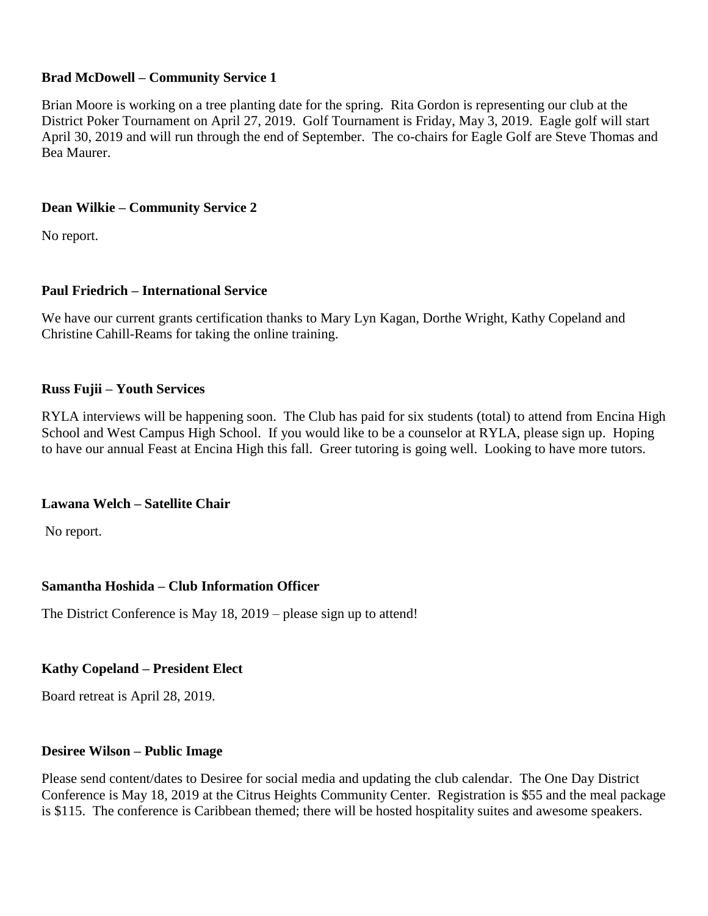## **Brad McDowell – Community Service 1**

Brian Moore is working on a tree planting date for the spring. Rita Gordon is representing our club at the District Poker Tournament on April 27, 2019. Golf Tournament is Friday, May 3, 2019. Eagle golf will start April 30, 2019 and will run through the end of September. The co-chairs for Eagle Golf are Steve Thomas and Bea Maurer.

## **Dean Wilkie – Community Service 2**

No report.

# **Paul Friedrich – International Service**

We have our current grants certification thanks to Mary Lyn Kagan, Dorthe Wright, Kathy Copeland and Christine Cahill-Reams for taking the online training.

## **Russ Fujii – Youth Services**

RYLA interviews will be happening soon. The Club has paid for six students (total) to attend from Encina High School and West Campus High School. If you would like to be a counselor at RYLA, please sign up. Hoping to have our annual Feast at Encina High this fall. Greer tutoring is going well. Looking to have more tutors.

## **Lawana Welch – Satellite Chair**

No report.

## **Samantha Hoshida – Club Information Officer**

The District Conference is May 18, 2019 – please sign up to attend!

## **Kathy Copeland – President Elect**

Board retreat is April 28, 2019.

### **Desiree Wilson – Public Image**

Please send content/dates to Desiree for social media and updating the club calendar. The One Day District Conference is May 18, 2019 at the Citrus Heights Community Center. Registration is \$55 and the meal package is \$115. The conference is Caribbean themed; there will be hosted hospitality suites and awesome speakers.